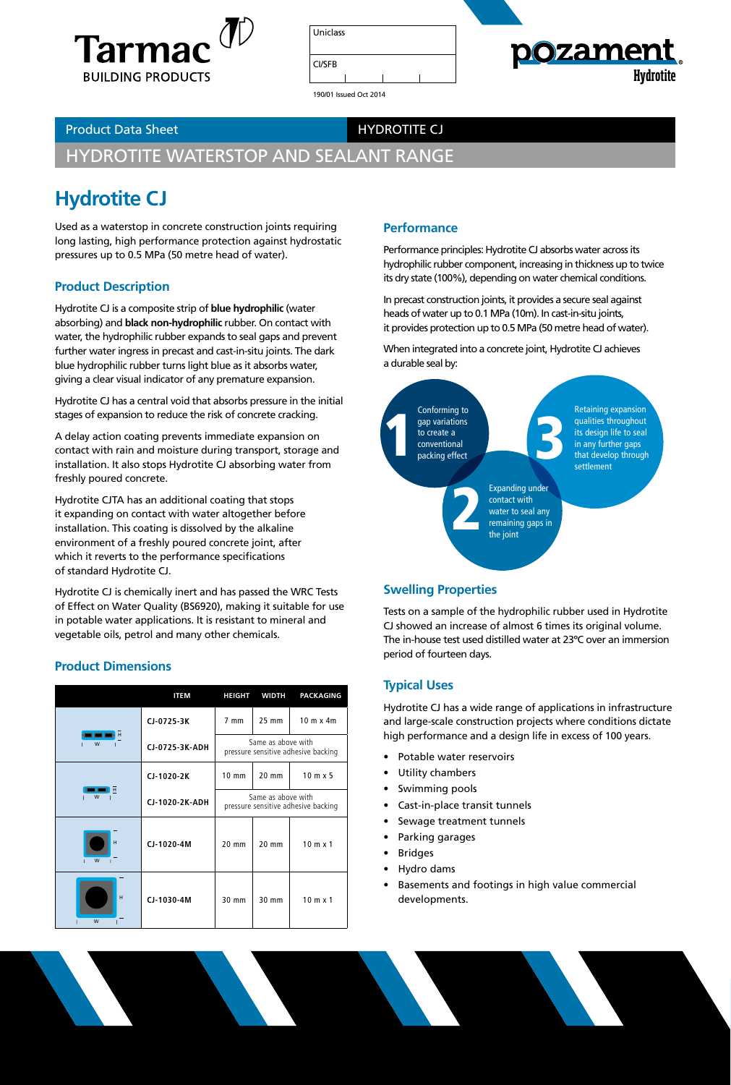





## Product Data Sheet

# HYDROTITE CJ

HYDROTITE WATERSTOP AND SEALANT RANGE

# **Hydrotite CJ**

Used as a waterstop in concrete construction joints requiring long lasting, high performance protection against hydrostatic pressures up to 0.5 MPa (50 metre head of water).

# **Product Description**

Hydrotite CJ is a composite strip of **blue hydrophilic** (water absorbing) and **black non-hydrophilic** rubber. On contact with water, the hydrophilic rubber expands to seal gaps and prevent further water ingress in precast and cast-in-situ joints. The dark blue hydrophilic rubber turns light blue as it absorbs water, giving a clear visual indicator of any premature expansion.

Hydrotite CJ has a central void that absorbs pressure in the initial stages of expansion to reduce the risk of concrete cracking.

A delay action coating prevents immediate expansion on contact with rain and moisture during transport, storage and installation. It also stops Hydrotite CJ absorbing water from freshly poured concrete.

Hydrotite CJTA has an additional coating that stops it expanding on contact with water altogether before installation. This coating is dissolved by the alkaline environment of a freshly poured concrete joint, after which it reverts to the performance specifications of standard Hydrotite CJ.

Hydrotite CJ is chemically inert and has passed the WRC Tests of Effect on Water Quality (BS6920), making it suitable for use in potable water applications. It is resistant to mineral and vegetable oils, petrol and many other chemicals.

## **Product Dimensions**

|        | <b>ITEM</b>    | <b>HEIGHT</b>                                             | <b>WIDTH</b>    | <b>PACKAGING</b>                |  |
|--------|----------------|-----------------------------------------------------------|-----------------|---------------------------------|--|
|        | CJ-0725-3K     | $7 \text{ mm}$                                            | 25 mm           | $10 \text{ m} \times 4\text{m}$ |  |
| w      | CJ-0725-3K-ADH | Same as above with<br>pressure sensitive adhesive backing |                 |                                 |  |
| H<br>w | CJ-1020-2K     | 10 mm                                                     | $20 \text{ mm}$ | $10 \text{ m} \times 5$         |  |
|        | CJ-1020-2K-ADH | Same as above with<br>pressure sensitive adhesive backing |                 |                                 |  |
| H<br>w | CJ-1020-4M     | $20$ mm                                                   | 20 mm           | $10 \text{ m} \times 1$         |  |
| H<br>w | CJ-1030-4M     | 30 mm                                                     | 30 mm           | $10 \text{ m} \times 1$         |  |

## **Performance**

Performance principles: Hydrotite CJ absorbs water across its hydrophilic rubber component, increasing in thickness up to twice its dry state (100%), depending on water chemical conditions.

In precast construction joints, it provides a secure seal against heads of water up to 0.1 MPa (10m). In cast-in-situ joints, it provides protection up to 0.5 MPa (50 metre head of water).

When integrated into a concrete joint, Hydrotite CJ achieves a durable seal by:



## **Swelling Properties**

Tests on a sample of the hydrophilic rubber used in Hydrotite CJ showed an increase of almost 6 times its original volume. The in-house test used distilled water at 23ºC over an immersion period of fourteen days.

## **Typical Uses**

Hydrotite CJ has a wide range of applications in infrastructure and large-scale construction projects where conditions dictate high performance and a design life in excess of 100 years.

- Potable water reservoirs
- Utility chambers
- Swimming pools
- Cast-in-place transit tunnels
- Sewage treatment tunnels
- Parking garages
- **Bridges**
- Hydro dams
- Basements and footings in high value commercial developments.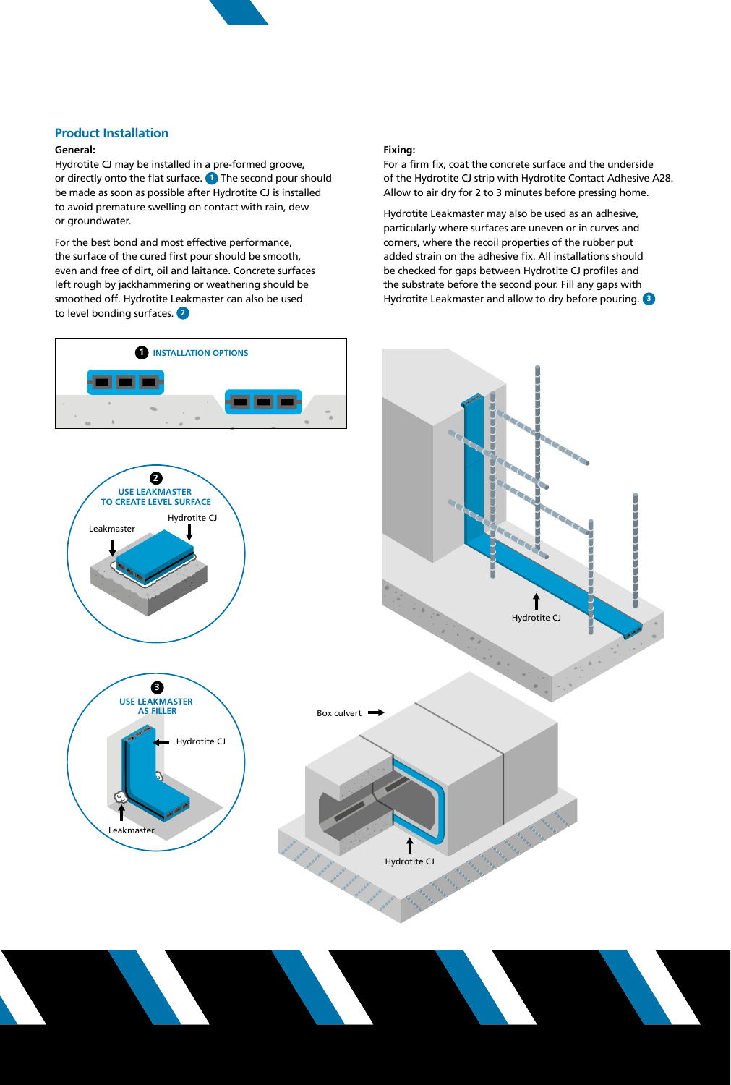## **Product Installation**

### **General:**

Hydrotite CJ may be installed in a pre-formed groove, or directly onto the flat surface. **1** The second pour should be made as soon as possible after Hydrotite CJ is installed to avoid premature swelling on contact with rain, dew or groundwater.

For the best bond and most effective performance, the surface of the cured first pour should be smooth, even and free of dirt, oil and laitance. Concrete surfaces left rough by jackhammering or weathering should be smoothed off. Hydrotite Leakmaster can also be used to level bonding surfaces. **2**

#### **Fixing:**

For a firm fix, coat the concrete surface and the underside of the Hydrotite CJ strip with Hydrotite Contact Adhesive A28. Allow to air dry for 2 to 3 minutes before pressing home.

Hydrotite Leakmaster may also be used as an adhesive, particularly where surfaces are uneven or in curves and corners, where the recoil properties of the rubber put added strain on the adhesive fix. All installations should be checked for gaps between Hydrotite CJ profiles and the substrate before the second pour. Fill any gaps with Hydrotite Leakmaster and allow to dry before pouring. **3**

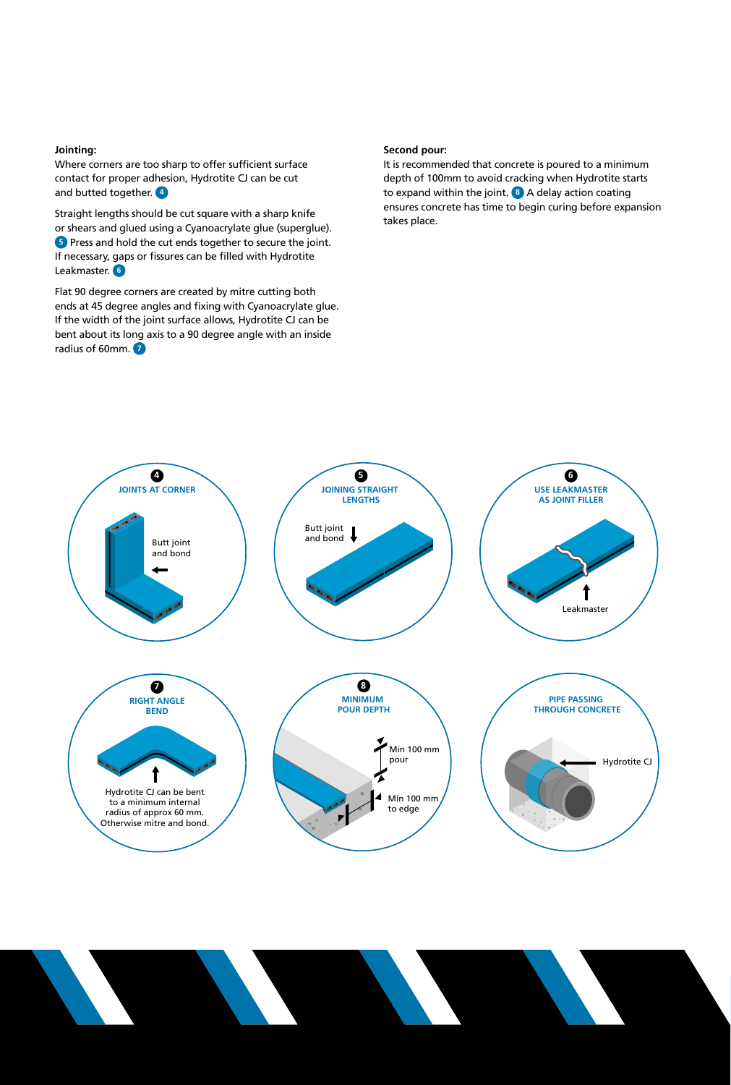#### **Jointing:**

Where corners are too sharp to offer sufficient surface contact for proper adhesion, Hydrotite CJ can be cut and butted together. **4**

Straight lengths should be cut square with a sharp knife or shears and glued using a Cyanoacrylate glue (superglue). **5** Press and hold the cut ends together to secure the joint. If necessary, gaps or fissures can be filled with Hydrotite Leakmaster. **6**

Flat 90 degree corners are created by mitre cutting both ends at 45 degree angles and fixing with Cyanoacrylate glue. If the width of the joint surface allows, Hydrotite CJ can be bent about its long axis to a 90 degree angle with an inside radius of 60mm. **7**

#### **Second pour:**

It is recommended that concrete is poured to a minimum depth of 100mm to avoid cracking when Hydrotite starts to expand within the joint. **8** A delay action coating ensures concrete has time to begin curing before expansion takes place.